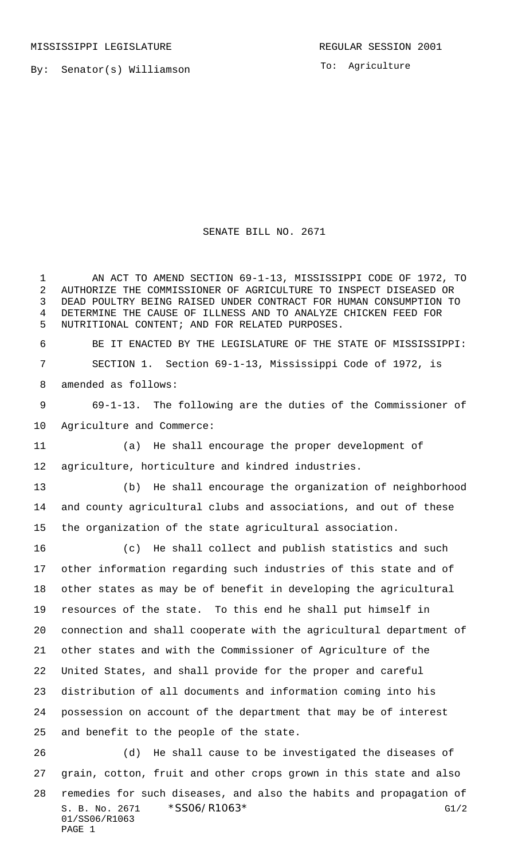MISSISSIPPI LEGISLATURE **REGULAR SESSION 2001** 

By: Senator(s) Williamson

To: Agriculture

## SENATE BILL NO. 2671

 AN ACT TO AMEND SECTION 69-1-13, MISSISSIPPI CODE OF 1972, TO AUTHORIZE THE COMMISSIONER OF AGRICULTURE TO INSPECT DISEASED OR DEAD POULTRY BEING RAISED UNDER CONTRACT FOR HUMAN CONSUMPTION TO DETERMINE THE CAUSE OF ILLNESS AND TO ANALYZE CHICKEN FEED FOR NUTRITIONAL CONTENT; AND FOR RELATED PURPOSES. BE IT ENACTED BY THE LEGISLATURE OF THE STATE OF MISSISSIPPI: SECTION 1. Section 69-1-13, Mississippi Code of 1972, is amended as follows: 69-1-13. The following are the duties of the Commissioner of Agriculture and Commerce: (a) He shall encourage the proper development of agriculture, horticulture and kindred industries. (b) He shall encourage the organization of neighborhood and county agricultural clubs and associations, and out of these the organization of the state agricultural association. (c) He shall collect and publish statistics and such other information regarding such industries of this state and of other states as may be of benefit in developing the agricultural resources of the state. To this end he shall put himself in connection and shall cooperate with the agricultural department of other states and with the Commissioner of Agriculture of the United States, and shall provide for the proper and careful distribution of all documents and information coming into his possession on account of the department that may be of interest and benefit to the people of the state. (d) He shall cause to be investigated the diseases of grain, cotton, fruit and other crops grown in this state and also

S. B. No. 2671 \* SSO6/R1063\* G1/2 01/SS06/R1063 PAGE 1 remedies for such diseases, and also the habits and propagation of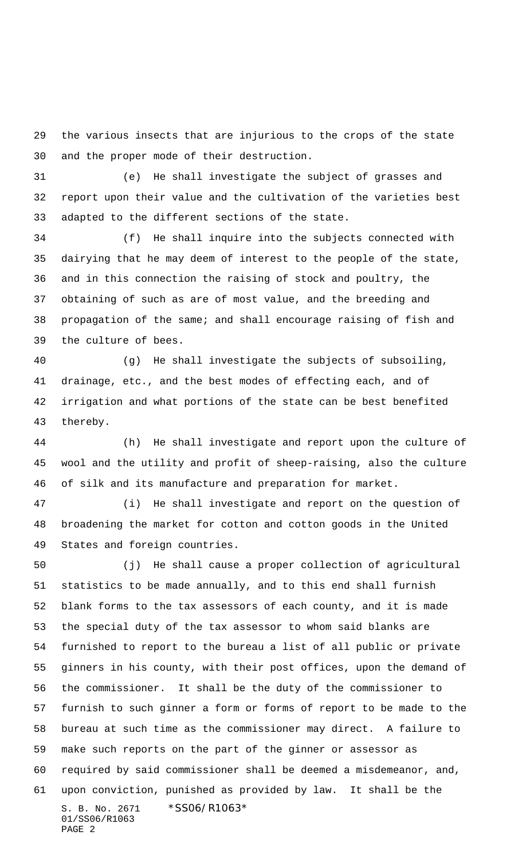the various insects that are injurious to the crops of the state and the proper mode of their destruction.

 (e) He shall investigate the subject of grasses and report upon their value and the cultivation of the varieties best adapted to the different sections of the state.

 (f) He shall inquire into the subjects connected with dairying that he may deem of interest to the people of the state, and in this connection the raising of stock and poultry, the obtaining of such as are of most value, and the breeding and propagation of the same; and shall encourage raising of fish and the culture of bees.

 (g) He shall investigate the subjects of subsoiling, drainage, etc., and the best modes of effecting each, and of irrigation and what portions of the state can be best benefited thereby.

 (h) He shall investigate and report upon the culture of wool and the utility and profit of sheep-raising, also the culture of silk and its manufacture and preparation for market.

 (i) He shall investigate and report on the question of broadening the market for cotton and cotton goods in the United States and foreign countries.

S. B. No. 2671 \* SS06/R1063\* 01/SS06/R1063 PAGE 2 (j) He shall cause a proper collection of agricultural statistics to be made annually, and to this end shall furnish blank forms to the tax assessors of each county, and it is made the special duty of the tax assessor to whom said blanks are furnished to report to the bureau a list of all public or private ginners in his county, with their post offices, upon the demand of the commissioner. It shall be the duty of the commissioner to furnish to such ginner a form or forms of report to be made to the bureau at such time as the commissioner may direct. A failure to make such reports on the part of the ginner or assessor as required by said commissioner shall be deemed a misdemeanor, and, upon conviction, punished as provided by law. It shall be the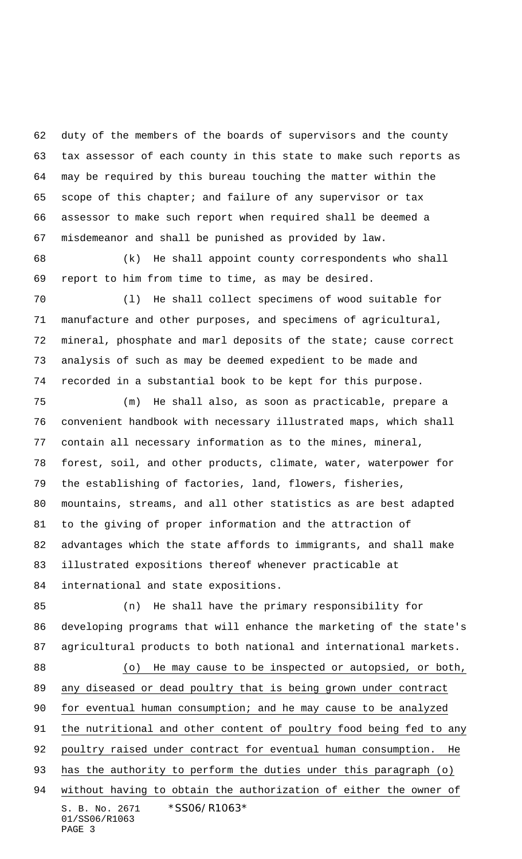duty of the members of the boards of supervisors and the county tax assessor of each county in this state to make such reports as may be required by this bureau touching the matter within the scope of this chapter; and failure of any supervisor or tax assessor to make such report when required shall be deemed a misdemeanor and shall be punished as provided by law.

 (k) He shall appoint county correspondents who shall report to him from time to time, as may be desired.

 (l) He shall collect specimens of wood suitable for manufacture and other purposes, and specimens of agricultural, mineral, phosphate and marl deposits of the state; cause correct analysis of such as may be deemed expedient to be made and recorded in a substantial book to be kept for this purpose.

 (m) He shall also, as soon as practicable, prepare a convenient handbook with necessary illustrated maps, which shall contain all necessary information as to the mines, mineral, forest, soil, and other products, climate, water, waterpower for the establishing of factories, land, flowers, fisheries, mountains, streams, and all other statistics as are best adapted to the giving of proper information and the attraction of advantages which the state affords to immigrants, and shall make illustrated expositions thereof whenever practicable at international and state expositions.

S. B. No. 2671 \* SS06/R1063\* 01/SS06/R1063 PAGE 3 (n) He shall have the primary responsibility for developing programs that will enhance the marketing of the state's agricultural products to both national and international markets. 88 (o) He may cause to be inspected or autopsied, or both, any diseased or dead poultry that is being grown under contract for eventual human consumption; and he may cause to be analyzed the nutritional and other content of poultry food being fed to any poultry raised under contract for eventual human consumption. He 93 has the authority to perform the duties under this paragraph (o) without having to obtain the authorization of either the owner of